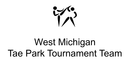

# West Michigan Tae Park Tournament Team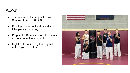### About

- The tournament team practices on Sundays from 12:30 - 2:30
- Development of skill and expertise in Olympic-style sparring
- Prepare for Demonstrations for events and our annual tournament.
- High level conditioning training that will put you to the test!

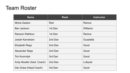## Team Roster

| <b>Name</b>                | <b>Rank</b> | <b>Instructor</b> |
|----------------------------|-------------|-------------------|
| Micha Gaston               | Red         | Ramos             |
| Ben Jackson                | 1st Dan     | Williams          |
| Ransom Rathbun             | 1st Dan     | Ramos             |
| Josiah Karneham            | 2nd Dan     | Guastella         |
| <b>Elizabeth Repp</b>      | 2nd Dan     | Good              |
| Alexander Repp             | 2nd Dan     | Good              |
| <b>Tori Koorndyk</b>       | 3rd Dan     | Good              |
| Andy Mueller (Asst. Coach) | 2nd Dan     | Lofquist          |
| Dan Duba (Head Coach)      | 3rd Dan     | Good              |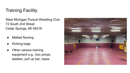## Training Facility

West Michigan Pursuit Wrestling Club 72 South 2nd Street Cedar Springs, MI 49319

- **Matted flooring**
- **Kicking bags**
- Other various training equipment e.g., box jumps, ladders, pull up bar, ropes